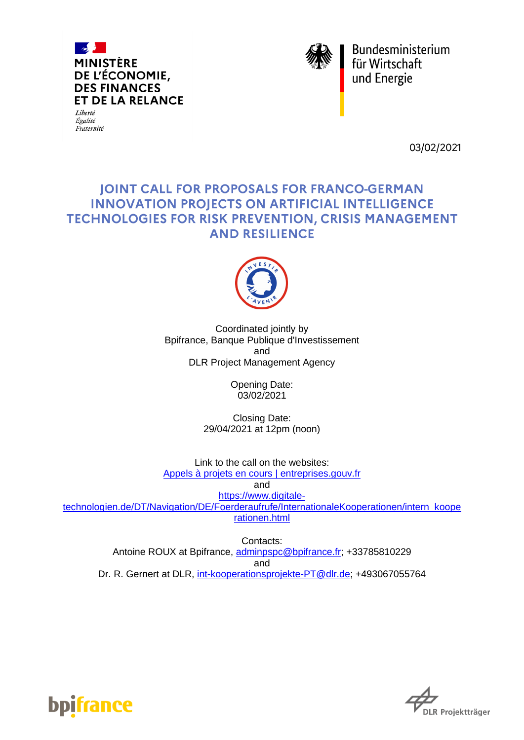

Liberté Égalité Fraternité



Bundesministerium<br>für Wirtschaft<br>und Energie

03/02/2021

# **JOINT CALL FOR PROPOSALS FOR FRANCO-GERMAN INNOVATION PROJECTS ON ARTIFICIAL INTELLIGENCE** TECHNOLOGIES FOR RISK PREVENTION, CRISIS MANAGEMENT **AND RESILIENCE**



Coordinated jointly by Bpifrance, Banque Publique d'Investissement and DLR Project Management Agency

> Opening Date: 03/02/2021

Closing Date: 29/04/2021 at 12pm (noon)

Link to the call on the websites: [Appels à projets en cours | entreprises.gouv.fr](https://www.entreprises.gouv.fr/fr/appels-projets)

and

[https://www.digitale](https://www.digitale-technologien.de/DT/Navigation/DE/Foerderaufrufe/InternationaleKooperationen/intern_kooperationen.html)[technologien.de/DT/Navigation/DE/Foerderaufrufe/InternationaleKooperationen/intern\\_koope](https://www.digitale-technologien.de/DT/Navigation/DE/Foerderaufrufe/InternationaleKooperationen/intern_kooperationen.html) [rationen.html](https://www.digitale-technologien.de/DT/Navigation/DE/Foerderaufrufe/InternationaleKooperationen/intern_kooperationen.html)

Contacts: Antoine ROUX at Bpifrance, [adminpspc@bpifrance.fr;](mailto:adminpspc@bpifrance.fr) +33785810229 and Dr. R. Gernert at DLR, [int-kooperationsprojekte-PT@dlr.de;](mailto:int-kooperationsprojekte-PT@dlr.de) +493067055764



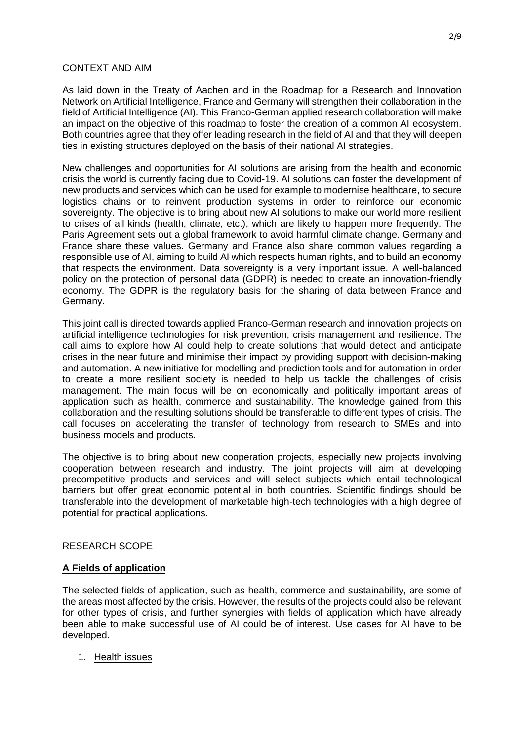## CONTEXT AND AIM

As laid down in the Treaty of Aachen and in the Roadmap for a Research and Innovation Network on Artificial Intelligence, France and Germany will strengthen their collaboration in the field of Artificial Intelligence (AI). This Franco-German applied research collaboration will make an impact on the objective of this roadmap to foster the creation of a common AI ecosystem. Both countries agree that they offer leading research in the field of AI and that they will deepen ties in existing structures deployed on the basis of their national AI strategies.

New challenges and opportunities for AI solutions are arising from the health and economic crisis the world is currently facing due to Covid-19. AI solutions can foster the development of new products and services which can be used for example to modernise healthcare, to secure logistics chains or to reinvent production systems in order to reinforce our economic sovereignty. The objective is to bring about new AI solutions to make our world more resilient to crises of all kinds (health, climate, etc.), which are likely to happen more frequently. The Paris Agreement sets out a global framework to avoid harmful climate change. Germany and France share these values. Germany and France also share common values regarding a responsible use of AI, aiming to build AI which respects human rights, and to build an economy that respects the environment. Data sovereignty is a very important issue. A well-balanced policy on the protection of personal data (GDPR) is needed to create an innovation-friendly economy. The GDPR is the regulatory basis for the sharing of data between France and Germany.

This joint call is directed towards applied Franco-German research and innovation projects on artificial intelligence technologies for risk prevention, crisis management and resilience. The call aims to explore how AI could help to create solutions that would detect and anticipate crises in the near future and minimise their impact by providing support with decision-making and automation. A new initiative for modelling and prediction tools and for automation in order to create a more resilient society is needed to help us tackle the challenges of crisis management. The main focus will be on economically and politically important areas of application such as health, commerce and sustainability. The knowledge gained from this collaboration and the resulting solutions should be transferable to different types of crisis. The call focuses on accelerating the transfer of technology from research to SMEs and into business models and products.

The objective is to bring about new cooperation projects, especially new projects involving cooperation between research and industry. The joint projects will aim at developing precompetitive products and services and will select subjects which entail technological barriers but offer great economic potential in both countries. Scientific findings should be transferable into the development of marketable high-tech technologies with a high degree of potential for practical applications.

## RESEARCH SCOPE

## **A Fields of application**

The selected fields of application, such as health, commerce and sustainability, are some of the areas most affected by the crisis. However, the results of the projects could also be relevant for other types of crisis, and further synergies with fields of application which have already been able to make successful use of AI could be of interest. Use cases for AI have to be developed.

1. Health issues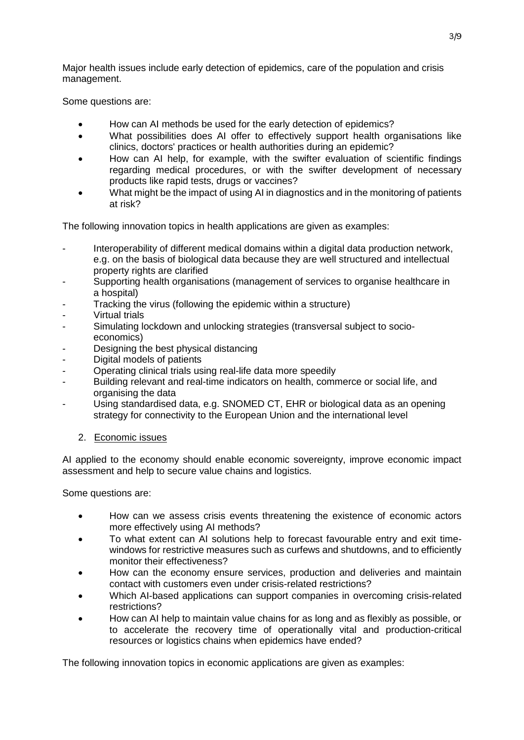Major health issues include early detection of epidemics, care of the population and crisis management.

Some questions are:

- How can AI methods be used for the early detection of epidemics?
- What possibilities does AI offer to effectively support health organisations like clinics, doctors' practices or health authorities during an epidemic?
- How can AI help, for example, with the swifter evaluation of scientific findings regarding medical procedures, or with the swifter development of necessary products like rapid tests, drugs or vaccines?
- What might be the impact of using AI in diagnostics and in the monitoring of patients at risk?

The following innovation topics in health applications are given as examples:

- Interoperability of different medical domains within a digital data production network, e.g. on the basis of biological data because they are well structured and intellectual property rights are clarified
- Supporting health organisations (management of services to organise healthcare in a hospital)
- Tracking the virus (following the epidemic within a structure)
- Virtual trials
- Simulating lockdown and unlocking strategies (transversal subject to socioeconomics)
- Designing the best physical distancing
- Digital models of patients
- Operating clinical trials using real-life data more speedily
- Building relevant and real-time indicators on health, commerce or social life, and organising the data
- Using standardised data, e.g. SNOMED CT, EHR or biological data as an opening strategy for connectivity to the European Union and the international level
	- 2. Economic issues

AI applied to the economy should enable economic sovereignty, improve economic impact assessment and help to secure value chains and logistics.

Some questions are:

- How can we assess crisis events threatening the existence of economic actors more effectively using AI methods?
- To what extent can AI solutions help to forecast favourable entry and exit timewindows for restrictive measures such as curfews and shutdowns, and to efficiently monitor their effectiveness?
- How can the economy ensure services, production and deliveries and maintain contact with customers even under crisis-related restrictions?
- Which AI-based applications can support companies in overcoming crisis-related restrictions?
- How can AI help to maintain value chains for as long and as flexibly as possible, or to accelerate the recovery time of operationally vital and production-critical resources or logistics chains when epidemics have ended?

The following innovation topics in economic applications are given as examples: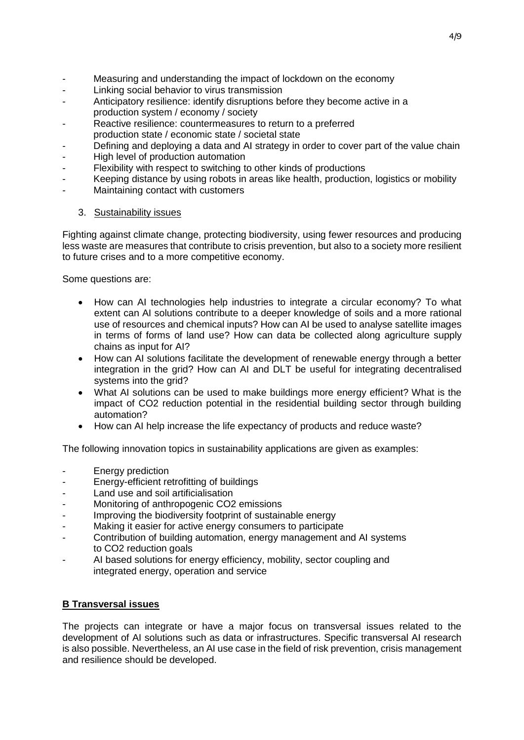- Measuring and understanding the impact of lockdown on the economy
- Linking social behavior to virus transmission
- Anticipatory resilience: identify disruptions before they become active in a production system / economy / society
- Reactive resilience: countermeasures to return to a preferred production state / economic state / societal state
- Defining and deploying a data and AI strategy in order to cover part of the value chain
- High level of production automation
- Flexibility with respect to switching to other kinds of productions
- Keeping distance by using robots in areas like health, production, logistics or mobility
- Maintaining contact with customers
	- 3. Sustainability issues

Fighting against climate change, protecting biodiversity, using fewer resources and producing less waste are measures that contribute to crisis prevention, but also to a society more resilient to future crises and to a more competitive economy.

Some questions are:

- How can AI technologies help industries to integrate a circular economy? To what extent can AI solutions contribute to a deeper knowledge of soils and a more rational use of resources and chemical inputs? How can AI be used to analyse satellite images in terms of forms of land use? How can data be collected along agriculture supply chains as input for AI?
- How can AI solutions facilitate the development of renewable energy through a better integration in the grid? How can AI and DLT be useful for integrating decentralised systems into the grid?
- What AI solutions can be used to make buildings more energy efficient? What is the impact of CO2 reduction potential in the residential building sector through building automation?
- How can AI help increase the life expectancy of products and reduce waste?

The following innovation topics in sustainability applications are given as examples:

- Energy prediction
- Energy-efficient retrofitting of buildings
- Land use and soil artificialisation
- Monitoring of anthropogenic CO2 emissions
- Improving the biodiversity footprint of sustainable energy
- Making it easier for active energy consumers to participate
- Contribution of building automation, energy management and AI systems to CO2 reduction goals
- AI based solutions for energy efficiency, mobility, sector coupling and integrated energy, operation and service

# **B Transversal issues**

The projects can integrate or have a major focus on transversal issues related to the development of AI solutions such as data or infrastructures. Specific transversal AI research is also possible. Nevertheless, an AI use case in the field of risk prevention, crisis management and resilience should be developed.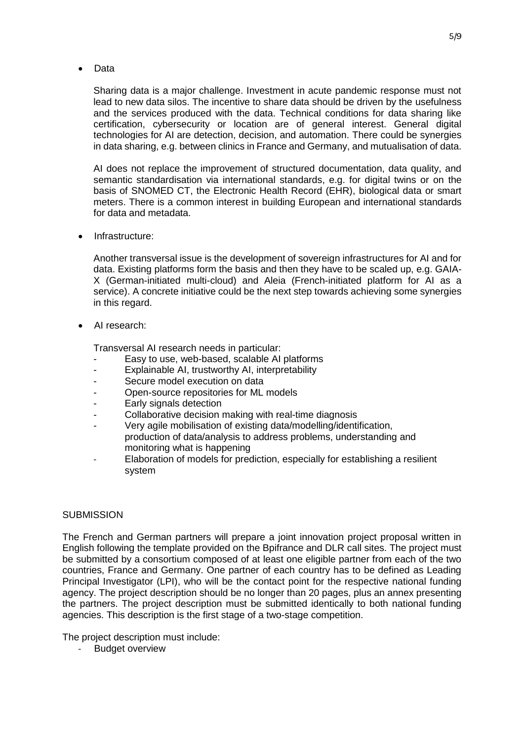Data

Sharing data is a major challenge. Investment in acute pandemic response must not lead to new data silos. The incentive to share data should be driven by the usefulness and the services produced with the data. Technical conditions for data sharing like certification, cybersecurity or location are of general interest. General digital technologies for AI are detection, decision, and automation. There could be synergies in data sharing, e.g. between clinics in France and Germany, and mutualisation of data.

AI does not replace the improvement of structured documentation, data quality, and semantic standardisation via international standards, e.g. for digital twins or on the basis of SNOMED CT, the Electronic Health Record (EHR), biological data or smart meters. There is a common interest in building European and international standards for data and metadata.

Infrastructure:

Another transversal issue is the development of sovereign infrastructures for AI and for data. Existing platforms form the basis and then they have to be scaled up, e.g. GAIA-X (German-initiated multi-cloud) and Aleia (French-initiated platform for AI as a service). A concrete initiative could be the next step towards achieving some synergies in this regard.

AI research:

Transversal AI research needs in particular:

- Easy to use, web-based, scalable AI platforms
- Explainable AI, trustworthy AI, interpretability
- Secure model execution on data
- Open-source repositories for ML models
- Early signals detection
- Collaborative decision making with real-time diagnosis
- Very agile mobilisation of existing data/modelling/identification, production of data/analysis to address problems, understanding and monitoring what is happening
- Elaboration of models for prediction, especially for establishing a resilient system

## **SUBMISSION**

The French and German partners will prepare a joint innovation project proposal written in English following the template provided on the Bpifrance and DLR call sites. The project must be submitted by a consortium composed of at least one eligible partner from each of the two countries, France and Germany. One partner of each country has to be defined as Leading Principal Investigator (LPI), who will be the contact point for the respective national funding agency. The project description should be no longer than 20 pages, plus an annex presenting the partners. The project description must be submitted identically to both national funding agencies. This description is the first stage of a two-stage competition.

The project description must include:

- Budget overview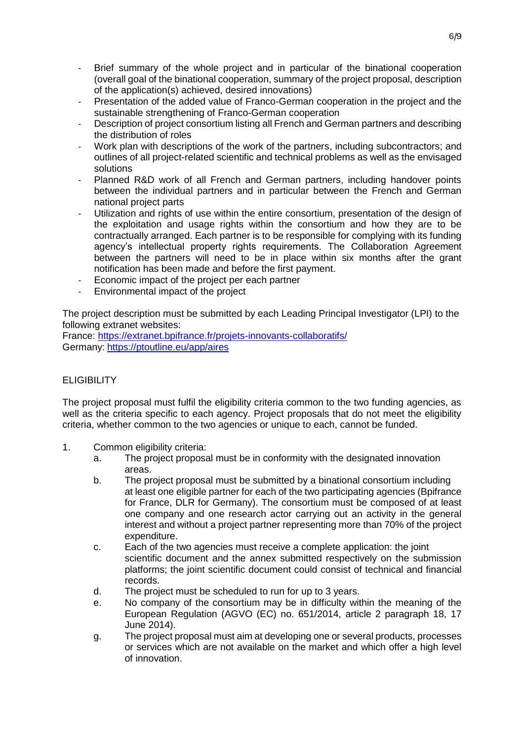- Brief summary of the whole project and in particular of the binational cooperation (overall goal of the binational cooperation, summary of the project proposal, description of the application(s) achieved, desired innovations)
- Presentation of the added value of Franco-German cooperation in the project and the sustainable strengthening of Franco-German cooperation
- Description of project consortium listing all French and German partners and describing the distribution of roles
- Work plan with descriptions of the work of the partners, including subcontractors; and outlines of all project-related scientific and technical problems as well as the envisaged solutions
- Planned R&D work of all French and German partners, including handover points between the individual partners and in particular between the French and German national project parts
- Utilization and rights of use within the entire consortium, presentation of the design of the exploitation and usage rights within the consortium and how they are to be contractually arranged. Each partner is to be responsible for complying with its funding agency's intellectual property rights requirements. The Collaboration Agreement between the partners will need to be in place within six months after the grant notification has been made and before the first payment.
- Economic impact of the project per each partner
- Environmental impact of the project

The project description must be submitted by each Leading Principal Investigator (LPI) to the following extranet websites:

France: <https://extranet.bpifrance.fr/projets-innovants-collaboratifs/> Germany: <https://ptoutline.eu/app/aires>

## **ELIGIBILITY**

The project proposal must fulfil the eligibility criteria common to the two funding agencies, as well as the criteria specific to each agency. Project proposals that do not meet the eligibility criteria, whether common to the two agencies or unique to each, cannot be funded.

- 1. Common eligibility criteria:
	- a. The project proposal must be in conformity with the designated innovation areas.
	- b. The project proposal must be submitted by a binational consortium including at least one eligible partner for each of the two participating agencies (Bpifrance for France, DLR for Germany). The consortium must be composed of at least one company and one research actor carrying out an activity in the general interest and without a project partner representing more than 70% of the project expenditure.
	- c. Each of the two agencies must receive a complete application: the joint scientific document and the annex submitted respectively on the submission platforms; the joint scientific document could consist of technical and financial records.
	- d. The project must be scheduled to run for up to 3 years.
	- e. No company of the consortium may be in difficulty within the meaning of the European Regulation (AGVO (EC) no. 651/2014, article 2 paragraph 18, 17 June 2014).
	- g. The project proposal must aim at developing one or several products, processes or services which are not available on the market and which offer a high level of innovation.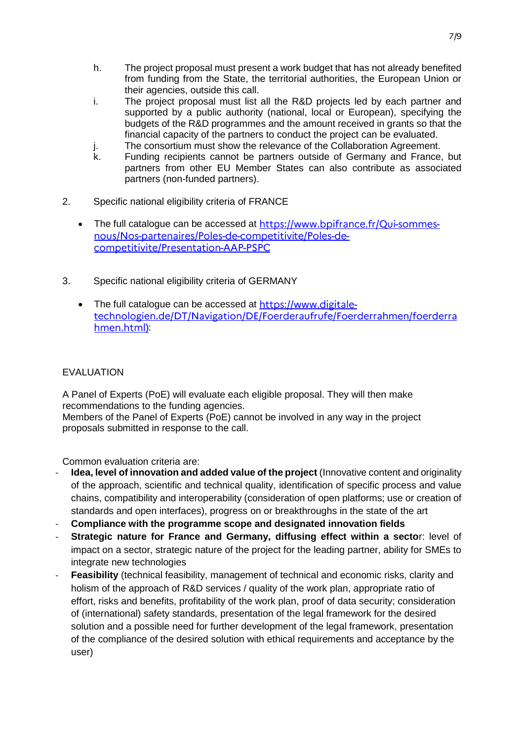- h. The project proposal must present a work budget that has not already benefited from funding from the State, the territorial authorities, the European Union or their agencies, outside this call.
- i. The project proposal must list all the R&D projects led by each partner and supported by a public authority (national, local or European), specifying the budgets of the R&D programmes and the amount received in grants so that the financial capacity of the partners to conduct the project can be evaluated.
- j. The consortium must show the relevance of the Collaboration Agreement.<br>
k. Funding recipients cannot be partners outside of Germany and France.
- Funding recipients cannot be partners outside of Germany and France, but partners from other EU Member States can also contribute as associated partners (non-funded partners).
- 2. Specific national eligibility criteria of FRANCE
	- •The full catalogue can be accessed at https://www.bpifrance.fr/Qui-sommesnous/Nos-partenaires/Poles-de-competitivite/Poles-decompetitivite/Presentation-AAP-PSPC
- 3. Specific national eligibility criteria of GERMANY
	- The full catalogue can be accessed at https://www.digitaletechnologien.de/DT/Navigation/DE/Foerderaufrufe/Foerderrahmen/foerderra hmen.html):

# EVALUATION

A Panel of Experts (PoE) will evaluate each eligible proposal. They will then make recommendations to the funding agencies.

Members of the Panel of Experts (PoE) cannot be involved in any way in the project proposals submitted in response to the call.

Common evaluation criteria are:

- **Idea, level of innovation and added value of the project** (Innovative content and originality of the approach, scientific and technical quality, identification of specific process and value chains, compatibility and interoperability (consideration of open platforms; use or creation of standards and open interfaces), progress on or breakthroughs in the state of the art
- **Compliance with the programme scope and designated innovation fields**
- **Strategic nature for France and Germany, diffusing effect within a sector: level of** impact on a sector, strategic nature of the project for the leading partner, ability for SMEs to integrate new technologies
- **Feasibility** (technical feasibility, management of technical and economic risks, clarity and holism of the approach of R&D services / quality of the work plan, appropriate ratio of effort, risks and benefits, profitability of the work plan, proof of data security; consideration of (international) safety standards, presentation of the legal framework for the desired solution and a possible need for further development of the legal framework, presentation of the compliance of the desired solution with ethical requirements and acceptance by the user)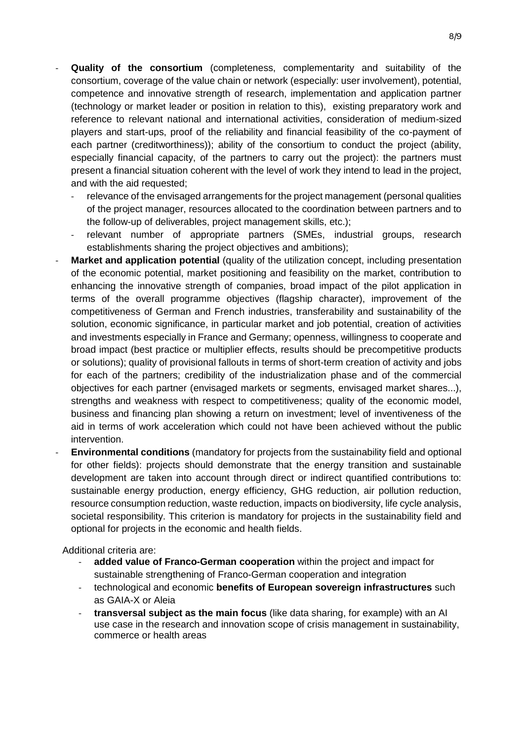- Quality of the consortium (completeness, complementarity and suitability of the consortium, coverage of the value chain or network (especially: user involvement), potential, competence and innovative strength of research, implementation and application partner (technology or market leader or position in relation to this), existing preparatory work and reference to relevant national and international activities, consideration of medium-sized players and start-ups, proof of the reliability and financial feasibility of the co-payment of each partner (creditworthiness)); ability of the consortium to conduct the project (ability, especially financial capacity, of the partners to carry out the project): the partners must present a financial situation coherent with the level of work they intend to lead in the project, and with the aid requested;
	- relevance of the envisaged arrangements for the project management (personal qualities of the project manager, resources allocated to the coordination between partners and to the follow-up of deliverables, project management skills, etc.);
	- relevant number of appropriate partners (SMEs, industrial groups, research establishments sharing the project objectives and ambitions);
- Market and application potential (quality of the utilization concept, including presentation of the economic potential, market positioning and feasibility on the market, contribution to enhancing the innovative strength of companies, broad impact of the pilot application in terms of the overall programme objectives (flagship character), improvement of the competitiveness of German and French industries, transferability and sustainability of the solution, economic significance, in particular market and job potential, creation of activities and investments especially in France and Germany; openness, willingness to cooperate and broad impact (best practice or multiplier effects, results should be precompetitive products or solutions); quality of provisional fallouts in terms of short-term creation of activity and jobs for each of the partners; credibility of the industrialization phase and of the commercial objectives for each partner (envisaged markets or segments, envisaged market shares...), strengths and weakness with respect to competitiveness; quality of the economic model, business and financing plan showing a return on investment; level of inventiveness of the aid in terms of work acceleration which could not have been achieved without the public intervention.
- **Environmental conditions** (mandatory for projects from the sustainability field and optional for other fields): projects should demonstrate that the energy transition and sustainable development are taken into account through direct or indirect quantified contributions to: sustainable energy production, energy efficiency, GHG reduction, air pollution reduction, resource consumption reduction, waste reduction, impacts on biodiversity, life cycle analysis, societal responsibility. This criterion is mandatory for projects in the sustainability field and optional for projects in the economic and health fields.

Additional criteria are:

- added value of Franco-German cooperation within the project and impact for sustainable strengthening of Franco-German cooperation and integration
- technological and economic **benefits of European sovereign infrastructures** such as GAIA-X or Aleia
- **transversal subject as the main focus** (like data sharing, for example) with an AI use case in the research and innovation scope of crisis management in sustainability, commerce or health areas